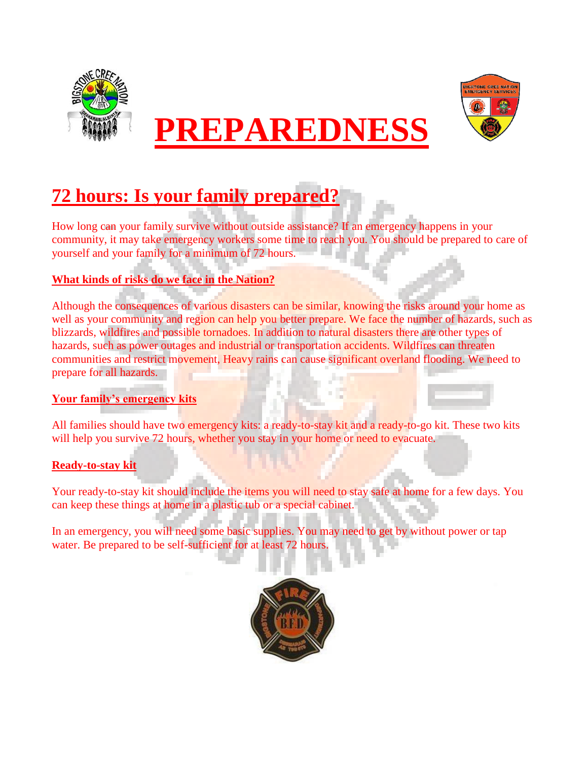



## **PREPAREDNESS**

### **72 hours: Is your family prepared?**

How long can your family survive without outside assistance? If an emergency happens in your community, it may take emergency workers some time to reach you. You should be prepared to care of yourself and your family for a minimum of 72 hours.

#### **What kinds of risks do we face in the Nation?**

Although the consequences of various disasters can be similar, knowing the risks around your home as well as your community and region can help you better prepare. We face the number of hazards, such as blizzards, wildfires and possible tornadoes. In addition to natural disasters there are other types of hazards, such as power outages and industrial or transportation accidents. Wildfires can threaten communities and restrict movement, Heavy rains can cause significant overland flooding. We need to prepare for all hazards.

#### **Your family's emergency kits**

All families should have two emergency kits: a ready-to-stay kit and a ready-to-go kit. These two kits will help you survive 72 hours, whether you stay in your home or need to evacuate.

#### **Ready-to-stay kit**

Your ready-to-stay kit should include the items you will need to stay safe at home for a few days. You can keep these things at home in a plastic tub or a special cabinet.

In an emergency, you will need some basic supplies. You may need to get by without power or tap water. Be prepared to be self-sufficient for at least 72 hours.

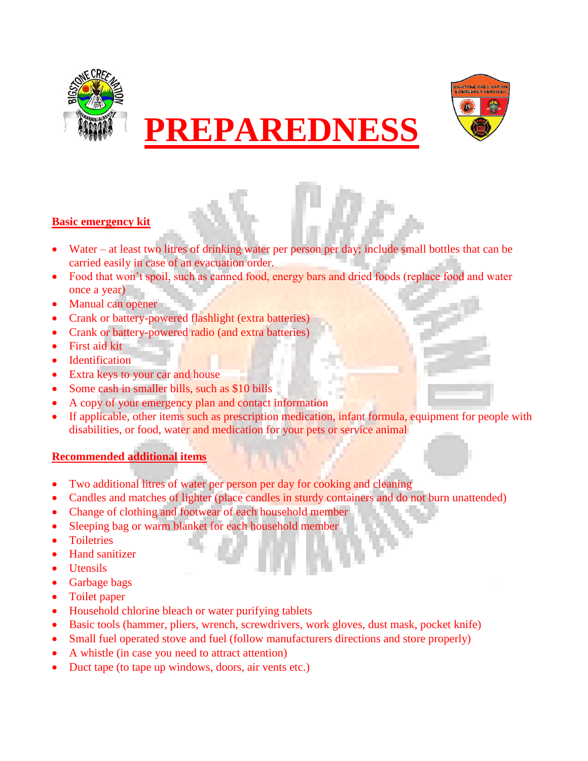





#### **Basic emergency kit**

- Water at least two litres of drinking water per person per day; include small bottles that can be carried easily in case of an evacuation order.
- Food that won't spoil, such as canned food, energy bars and dried foods (replace food and water once a year)
- Manual can opener
- Crank or battery-powered flashlight (extra batteries)
- Crank or battery-powered radio (and extra batteries)
- First aid kit
- **Identification**
- Extra keys to your car and house
- Some cash in smaller bills, such as \$10 bills
- A copy of your emergency plan and contact information
- If applicable, other items such as prescription medication, infant formula, equipment for people with disabilities, or food, water and medication for your pets or service animal

#### **Recommended additional items**

- Two additional litres of water per person per day for cooking and cleaning
- Candles and matches of lighter (place candles in sturdy containers and do not burn unattended)
- Change of clothing and footwear of each household member
- Sleeping bag or warm blanket for each household member
- **Toiletries**
- Hand sanitizer
- Utensils
- Garbage bags
- Toilet paper
- Household chlorine bleach or water purifying tablets
- Basic tools (hammer, pliers, wrench, screwdrivers, work gloves, dust mask, pocket knife)
- Small fuel operated stove and fuel (follow manufacturers directions and store properly)
- A whistle (in case you need to attract attention)
- Duct tape (to tape up windows, doors, air vents etc.)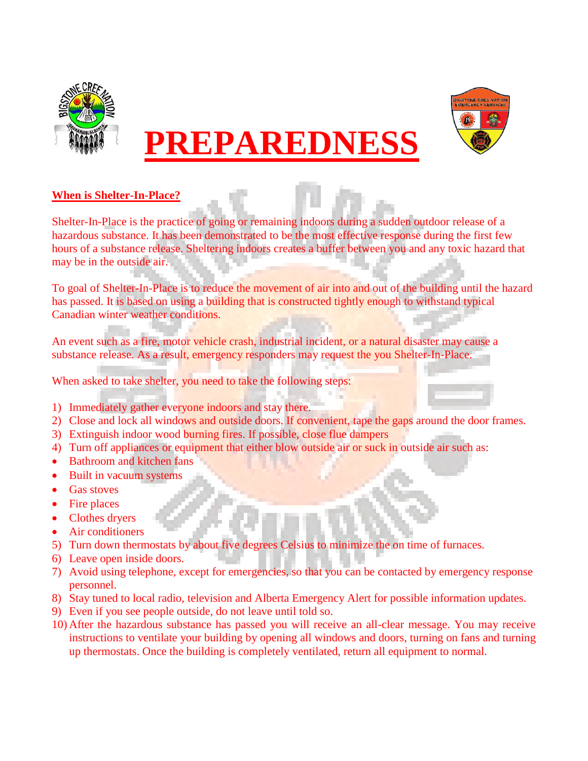

## **PREPAREDNESS**



#### **When is Shelter-In-Place?**

Shelter-In-Place is the practice of going or remaining indoors during a sudden outdoor release of a hazardous substance. It has been demonstrated to be the most effective response during the first few hours of a substance release. Sheltering indoors creates a buffer between you and any toxic hazard that may be in the outside air.

To goal of Shelter-In-Place is to reduce the movement of air into and out of the building until the hazard has passed. It is based on using a building that is constructed tightly enough to withstand typical Canadian winter weather conditions.

An event such as a fire, motor vehicle crash, industrial incident, or a natural disaster may cause a substance release. As a result, emergency responders may request the you Shelter-In-Place.

When asked to take shelter, you need to take the following steps:

- 1) Immediately gather everyone indoors and stay there.
- 2) Close and lock all windows and outside doors. If convenient, tape the gaps around the door frames.
- 3) Extinguish indoor wood burning fires. If possible, close flue dampers
- 4) Turn off appliances or equipment that either blow outside air or suck in outside air such as:
- Bathroom and kitchen fans
- Built in vacuum systems
- Gas stoves
- Fire places
- Clothes dryers
- Air conditioners
- 5) Turn down thermostats by about five degrees Celsius to minimize the on time of furnaces.
- 6) Leave open inside doors.
- 7) Avoid using telephone, except for emergencies, so that you can be contacted by emergency response personnel.
- 8) Stay tuned to local radio, television and Alberta Emergency Alert for possible information updates.
- 9) Even if you see people outside, do not leave until told so.
- 10) After the hazardous substance has passed you will receive an all-clear message. You may receive instructions to ventilate your building by opening all windows and doors, turning on fans and turning up thermostats. Once the building is completely ventilated, return all equipment to normal.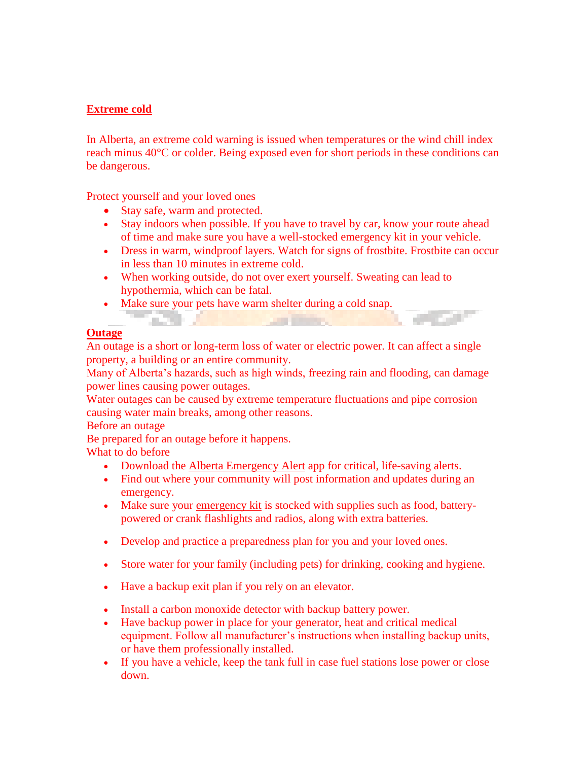#### **Extreme cold**

In Alberta, an extreme cold warning is issued when temperatures or the wind chill index reach minus 40°C or colder. Being exposed even for short periods in these conditions can be dangerous.

Protect yourself and your loved ones

an a

- Stay safe, warm and protected.
- Stay indoors when possible. If you have to travel by car, know your route ahead of time and make sure you have a well-stocked emergency kit in your vehicle.
- Dress in warm, windproof layers. Watch for signs of frostbite. Frostbite can occur in less than 10 minutes in extreme cold.
- When working outside, do not over exert yourself. Sweating can lead to hypothermia, which can be fatal.
- Make sure your pets have warm shelter during a cold snap.

#### **Outage**

An outage is a short or long-term loss of water or electric power. It can affect a single property, a building or an entire community.

Many of Alberta's hazards, such as high winds, freezing rain and flooding, can damage power lines causing power outages.

Water outages can be caused by extreme temperature fluctuations and pipe corrosion causing water main breaks, among other reasons.

Before an outage

Be prepared for an outage before it happens.

What to do before

- Download the [Alberta Emergency Alert](http://www.emergencyalert.alberta.ca/content/about/signup.html) app for critical, life-saving alerts.
- Find out where your community will post information and updates during an emergency.
- Make sure your [emergency kit](https://www.alberta.ca/build-an-emergency-kit.aspx) is stocked with supplies such as food, batterypowered or crank flashlights and radios, along with extra batteries.
- Develop and practice a preparedness plan for you and your loved ones.
- Store water for your family (including pets) for drinking, cooking and hygiene.
- Have a backup exit plan if you rely on an elevator.
- Install a carbon monoxide detector with backup battery power.
- Have backup power in place for your generator, heat and critical medical equipment. Follow all manufacturer's instructions when installing backup units, or have them professionally installed.
- If you have a vehicle, keep the tank full in case fuel stations lose power or close down.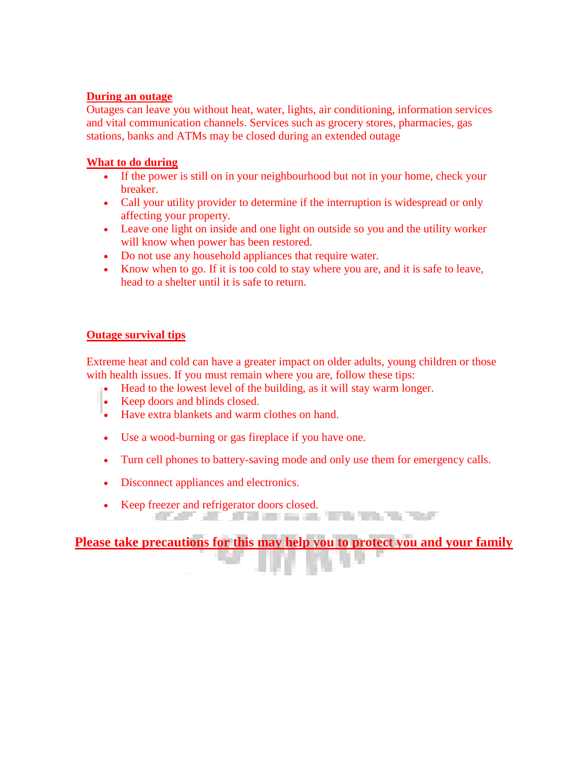#### **During an outage**

Outages can leave you without heat, water, lights, air conditioning, information services and vital communication channels. Services such as grocery stores, pharmacies, gas stations, banks and ATMs may be closed during an extended outage

#### **What to do during**

- If the power is still on in your neighbourhood but not in your home, check your breaker.
- Call your utility provider to determine if the interruption is widespread or only affecting your property.
- Leave one light on inside and one light on outside so you and the utility worker will know when power has been restored.
- Do not use any household appliances that require water.
- Know when to go. If it is too cold to stay where you are, and it is safe to leave, head to a shelter until it is safe to return.

#### **Outage survival tips**

Extreme heat and cold can have a greater impact on older adults, young children or those with health issues. If you must remain where you are, follow these tips:

- Head to the lowest level of the building, as it will stay warm longer.
- Keep doors and blinds closed.
- Have extra blankets and warm clothes on hand.
- Use a wood-burning or gas fireplace if you have one.
- Turn cell phones to battery-saving mode and only use them for emergency calls.
- Disconnect appliances and electronics.
- Keep freezer and refrigerator doors closed.

**Please take precautions for this may help you to protect you and your family**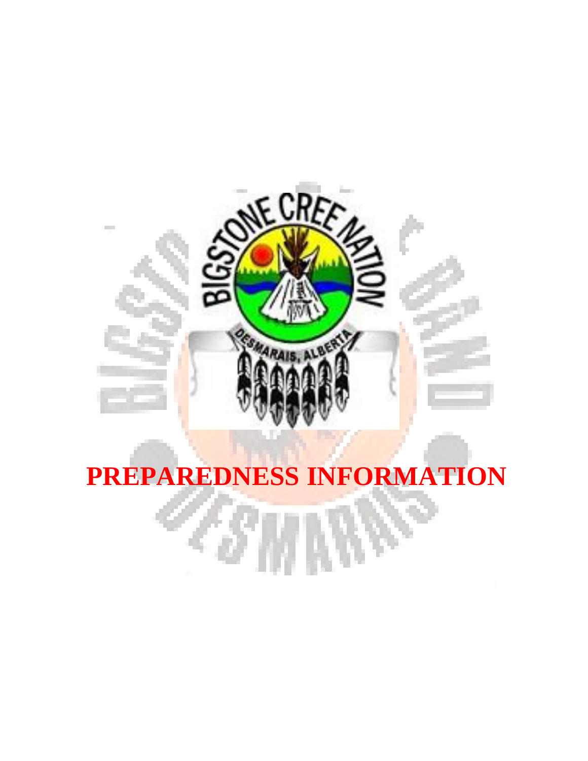

# **PREPAREDNESS INFORMATION**